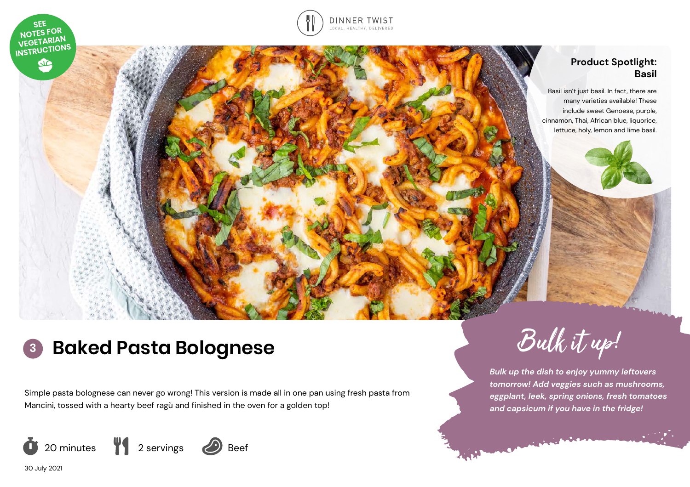

Simple pasta bolognese can never go wrong! This version is made all in one pan using fresh pasta from Mancini, tossed with a hearty beef ragù and finished in the oven for a golden top!



30 July 2021

*Bulk up the dish to enjoy yummy leftovers tomorrow! Add veggies such as mushrooms,* 

ران بارس<br>مناسب المراكز

*eggplant, leek, spring onions, fresh tomatoes and capsicum if you have in the fridge!*